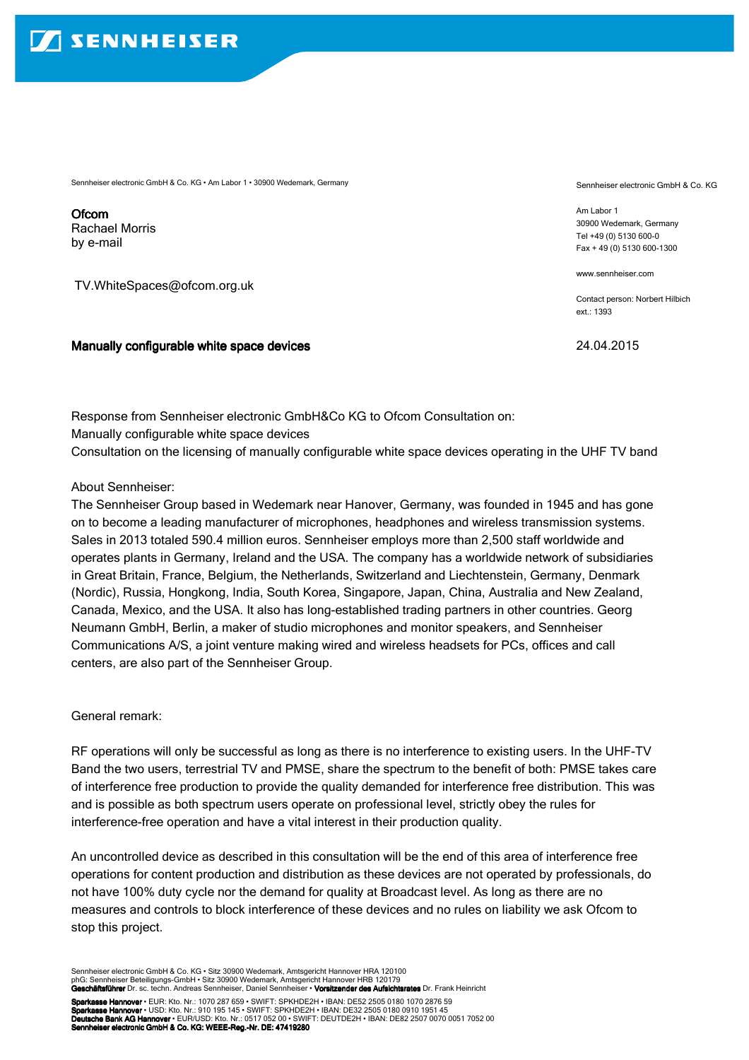Sennheiser electronic GmbH & Co. KG • Am Labor 1 • 30900 Wedemark, Germany

**Ofcom** Rachael Morris by e-mail

TV.WhiteSpaces@ofcom.org.uk

## Manually configurable white space devices

Sennheiser electronic GmbH & Co. KG

Am Labor 1 30900 Wedemark, Germany Tel +49 (0) 5130 600-0 Fax + 49 (0) 5130 600-1300

www.sennheiser.com

Contact person: Norbert Hilbich ext.: 1393

24.04.2015

Response from Sennheiser electronic GmbH&Co KG to Ofcom Consultation on: Manually configurable white space devices Consultation on the licensing of manually configurable white space devices operating in the UHF TV band

## About Sennheiser:

The Sennheiser Group based in Wedemark near Hanover, Germany, was founded in 1945 and has gone on to become a leading manufacturer of microphones, headphones and wireless transmission systems. Sales in 2013 totaled 590.4 million euros. Sennheiser employs more than 2,500 staff worldwide and operates plants in Germany, Ireland and the USA. The company has a worldwide network of subsidiaries in Great Britain, France, Belgium, the Netherlands, Switzerland and Liechtenstein, Germany, Denmark (Nordic), Russia, Hongkong, India, South Korea, Singapore, Japan, China, Australia and New Zealand, Canada, Mexico, and the USA. It also has long-established trading partners in other countries. Georg Neumann GmbH, Berlin, a maker of studio microphones and monitor speakers, and Sennheiser Communications A/S, a joint venture making wired and wireless headsets for PCs, offices and call centers, are also part of the Sennheiser Group.

General remark:

RF operations will only be successful as long as there is no interference to existing users. In the UHF-TV Band the two users, terrestrial TV and PMSE, share the spectrum to the benefit of both: PMSE takes care of interference free production to provide the quality demanded for interference free distribution. This was and is possible as both spectrum users operate on professional level, strictly obey the rules for interference-free operation and have a vital interest in their production quality.

An uncontrolled device as described in this consultation will be the end of this area of interference free operations for content production and distribution as these devices are not operated by professionals, do not have 100% duty cycle nor the demand for quality at Broadcast level. As long as there are no measures and controls to block interference of these devices and no rules on liability we ask Ofcom to stop this project.

Sennheiser electronic GmbH & Co. KG • Sitz 30900 Wedemark, Amtsgericht Hannover HRA 120100 phG: Sennheiser Beteiligungs-GmbH • Sitz 30900 Wedemark, Amtsgericht Hannover HRB 120179<br>**Geschäftsführer** Dr. sc. techn. Andreas Sennheiser, Daniel Sennheiser • **Vorsitzender des Aufsichtsrates** Dr. Frank Heinricht

Sparkasse Hannover • EUR: Kto. Nr.: 1070 287 659 • SWIFT: SPKHDE2H • IBAN: DE52 2505 0180 1070 2876 59 Sparkasse Hannover • ESTR. RRS. Nr.: 1970 297 033 • SWIFT: SPKHDE2H • IBAN: DE32 2505 0180 0910 1951 45<br>Sparkasse Hannover • USD: Kto. Nr.: 910 195 145 • SWIFT: SPKHDE2H • IBAN: DE32 2505 0180 0910 1951 45 Deutsche Bank AG Hannover • EUR/USD: Kto. Nr.: 0517 052 00 • SWIFT: DEUTDE2H • IBAN: DE82 2507 0070 0051 7052 00<br>Sennheiser electronic GmbH & Co. KG: WEEE-Reg.-Nr. DE: 47419280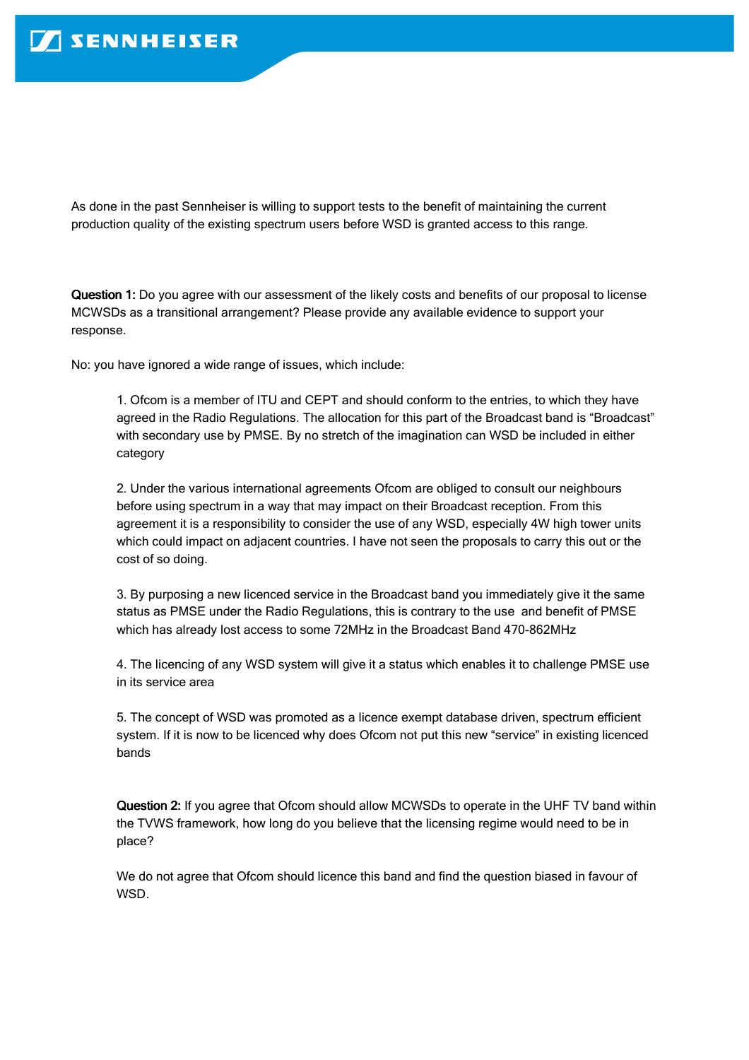As done in the past Sennheiser is willing to support tests to the benefit of maintaining the current production quality of the existing spectrum users before WSD is granted access to this range.

Question 1: Do you agree with our assessment of the likely costs and benefits of our proposal to license MCWSDs as a transitional arrangement? Please provide any available evidence to support your response.

No: you have ignored a wide range of issues, which include:

1. Ofcom is a member of ITU and CEPT and should conform to the entries, to which they have agreed in the Radio Regulations. The allocation for this part of the Broadcast band is "Broadcast" with secondary use by PMSE. By no stretch of the imagination can WSD be included in either category

2. Under the various international agreements Ofcom are obliged to consult our neighbours before using spectrum in a way that may impact on their Broadcast reception. From this agreement it is a responsibility to consider the use of any WSD, especially 4W high tower units which could impact on adjacent countries. I have not seen the proposals to carry this out or the cost of so doing.

3. By purposing a new licenced service in the Broadcast band you immediately give it the same status as PMSE under the Radio Regulations, this is contrary to the use and benefit of PMSE which has already lost access to some 72MHz in the Broadcast Band 470-862MHz

4. The licencing of any WSD system will give it a status which enables it to challenge PMSE use in its service area

5. The concept of WSD was promoted as a licence exempt database driven, spectrum efficient system. If it is now to be licenced why does Ofcom not put this new "service" in existing licenced bands

Question 2: If you agree that Ofcom should allow MCWSDs to operate in the UHF TV band within the TVWS framework, how long do you believe that the licensing regime would need to be in place?

We do not agree that Ofcom should licence this band and find the question biased in favour of WSD.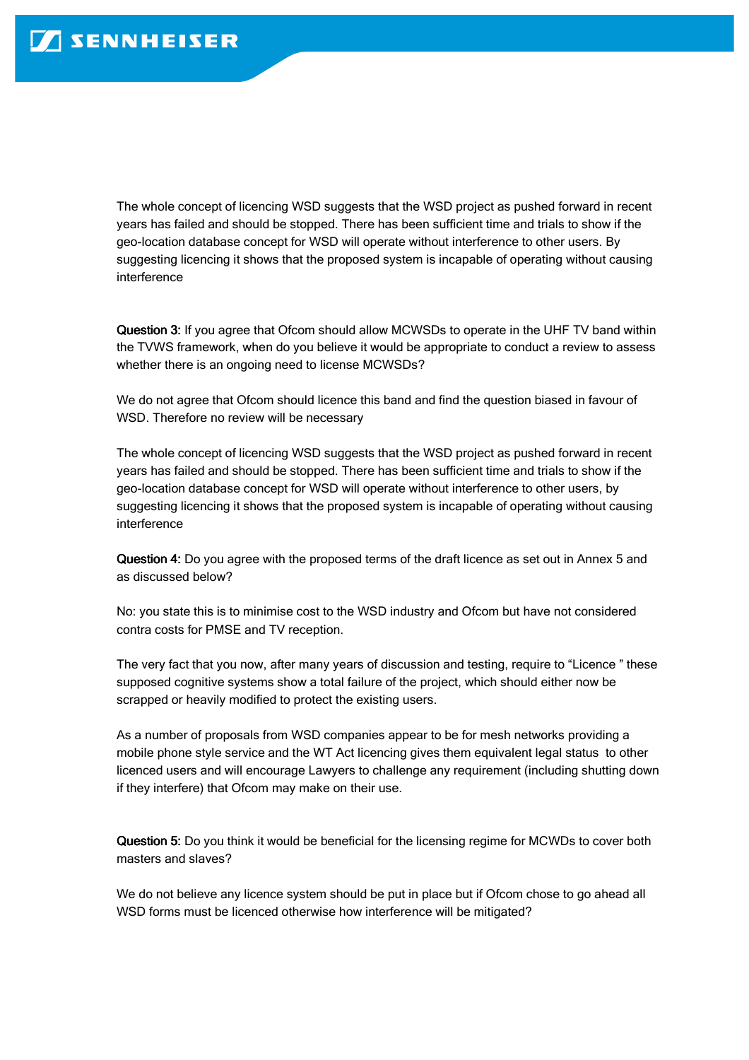The whole concept of licencing WSD suggests that the WSD project as pushed forward in recent years has failed and should be stopped. There has been sufficient time and trials to show if the geo-location database concept for WSD will operate without interference to other users. By suggesting licencing it shows that the proposed system is incapable of operating without causing interference

Question 3: If you agree that Ofcom should allow MCWSDs to operate in the UHF TV band within the TVWS framework, when do you believe it would be appropriate to conduct a review to assess whether there is an ongoing need to license MCWSDs?

We do not agree that Ofcom should licence this band and find the question biased in favour of WSD. Therefore no review will be necessary

The whole concept of licencing WSD suggests that the WSD project as pushed forward in recent years has failed and should be stopped. There has been sufficient time and trials to show if the geo-location database concept for WSD will operate without interference to other users, by suggesting licencing it shows that the proposed system is incapable of operating without causing interference

Question 4: Do you agree with the proposed terms of the draft licence as set out in Annex 5 and as discussed below?

No: you state this is to minimise cost to the WSD industry and Ofcom but have not considered contra costs for PMSE and TV reception.

The very fact that you now, after many years of discussion and testing, require to "Licence " these supposed cognitive systems show a total failure of the project, which should either now be scrapped or heavily modified to protect the existing users.

As a number of proposals from WSD companies appear to be for mesh networks providing a mobile phone style service and the WT Act licencing gives them equivalent legal status to other licenced users and will encourage Lawyers to challenge any requirement (including shutting down if they interfere) that Ofcom may make on their use.

Question 5: Do you think it would be beneficial for the licensing regime for MCWDs to cover both masters and slaves?

We do not believe any licence system should be put in place but if Ofcom chose to go ahead all WSD forms must be licenced otherwise how interference will be mitigated?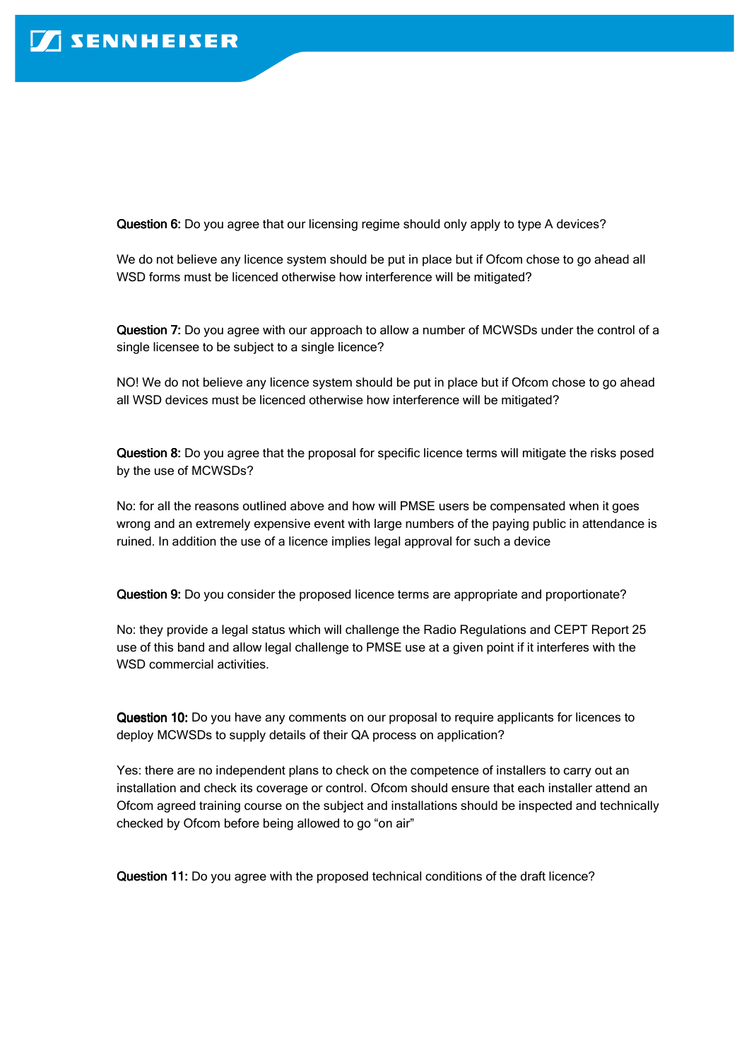Question 6: Do you agree that our licensing regime should only apply to type A devices?

We do not believe any licence system should be put in place but if Ofcom chose to go ahead all WSD forms must be licenced otherwise how interference will be mitigated?

Question 7: Do you agree with our approach to allow a number of MCWSDs under the control of a single licensee to be subject to a single licence?

NO! We do not believe any licence system should be put in place but if Ofcom chose to go ahead all WSD devices must be licenced otherwise how interference will be mitigated?

Question 8: Do you agree that the proposal for specific licence terms will mitigate the risks posed by the use of MCWSDs?

No: for all the reasons outlined above and how will PMSE users be compensated when it goes wrong and an extremely expensive event with large numbers of the paying public in attendance is ruined. In addition the use of a licence implies legal approval for such a device

Question 9: Do you consider the proposed licence terms are appropriate and proportionate?

No: they provide a legal status which will challenge the Radio Regulations and CEPT Report 25 use of this band and allow legal challenge to PMSE use at a given point if it interferes with the WSD commercial activities.

Question 10: Do you have any comments on our proposal to require applicants for licences to deploy MCWSDs to supply details of their QA process on application?

Yes: there are no independent plans to check on the competence of installers to carry out an installation and check its coverage or control. Ofcom should ensure that each installer attend an Ofcom agreed training course on the subject and installations should be inspected and technically checked by Ofcom before being allowed to go "on air"

Question 11: Do you agree with the proposed technical conditions of the draft licence?